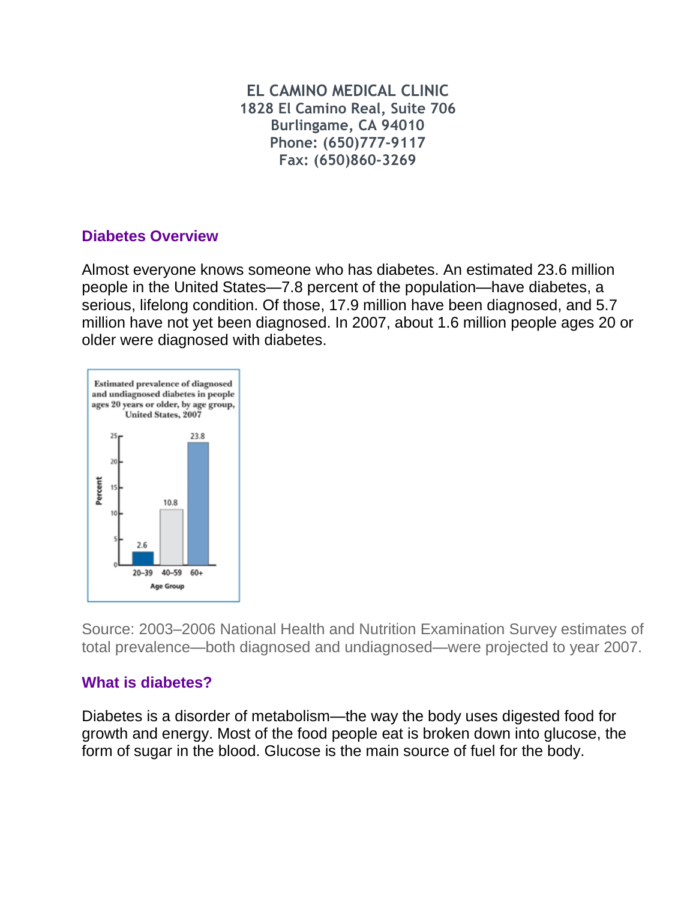**EL CAMINO MEDICAL CLINIC 1828 El Camino Real, Suite 706 Burlingame, CA 94010 Phone: (650)777-9117 Fax: (650)860-3269**

# **Diabetes Overview**

Almost everyone knows someone who has diabetes. An estimated 23.6 million people in the United States—7.8 percent of the population—have diabetes, a serious, lifelong condition. Of those, 17.9 million have been diagnosed, and 5.7 million have not yet been diagnosed. In 2007, about 1.6 million people ages 20 or older were diagnosed with diabetes.



Source: 2003–2006 National Health and Nutrition Examination Survey estimates of total prevalence—both diagnosed and undiagnosed—were projected to year 2007.

## **What is diabetes?**

Diabetes is a disorder of metabolism—the way the body uses digested food for growth and energy. Most of the food people eat is broken down into glucose, the form of sugar in the blood. Glucose is the main source of fuel for the body.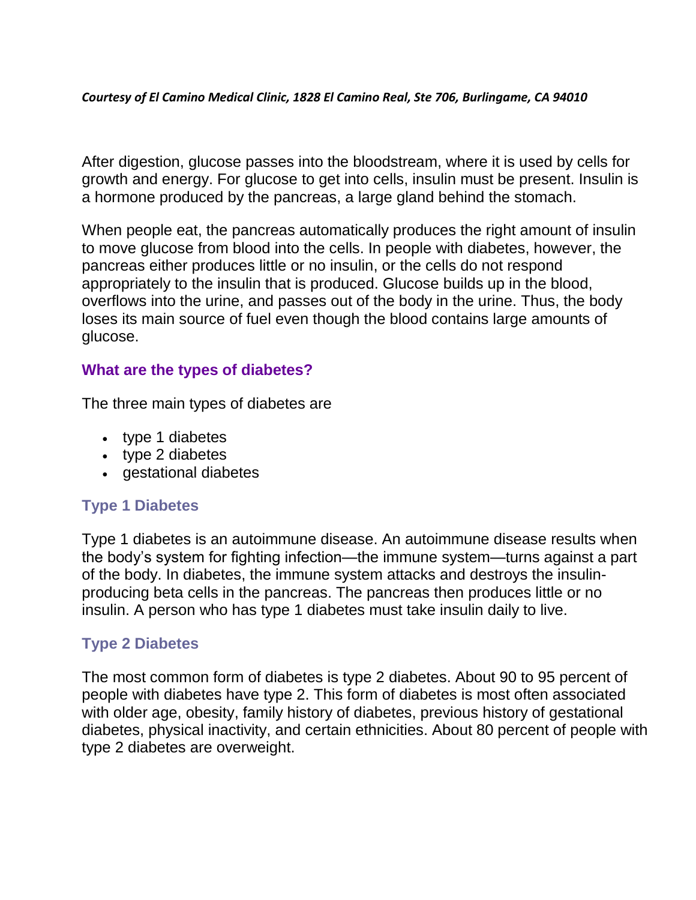#### *Courtesy of El Camino Medical Clinic, 1828 El Camino Real, Ste 706, Burlingame, CA 94010*

After digestion, glucose passes into the bloodstream, where it is used by cells for growth and energy. For glucose to get into cells, insulin must be present. Insulin is a hormone produced by the pancreas, a large gland behind the stomach.

When people eat, the pancreas automatically produces the right amount of insulin to move glucose from blood into the cells. In people with diabetes, however, the pancreas either produces little or no insulin, or the cells do not respond appropriately to the insulin that is produced. Glucose builds up in the blood, overflows into the urine, and passes out of the body in the urine. Thus, the body loses its main source of fuel even though the blood contains large amounts of glucose.

## **What are the types of diabetes?**

The three main types of diabetes are

- type 1 diabetes
- type 2 diabetes
- gestational diabetes

## **Type 1 Diabetes**

Type 1 diabetes is an autoimmune disease. An autoimmune disease results when the body's system for fighting infection—the immune system—turns against a part of the body. In diabetes, the immune system attacks and destroys the insulinproducing beta cells in the pancreas. The pancreas then produces little or no insulin. A person who has type 1 diabetes must take insulin daily to live.

## **Type 2 Diabetes**

The most common form of diabetes is type 2 diabetes. About 90 to 95 percent of people with diabetes have type 2. This form of diabetes is most often associated with older age, obesity, family history of diabetes, previous history of gestational diabetes, physical inactivity, and certain ethnicities. About 80 percent of people with type 2 diabetes are overweight.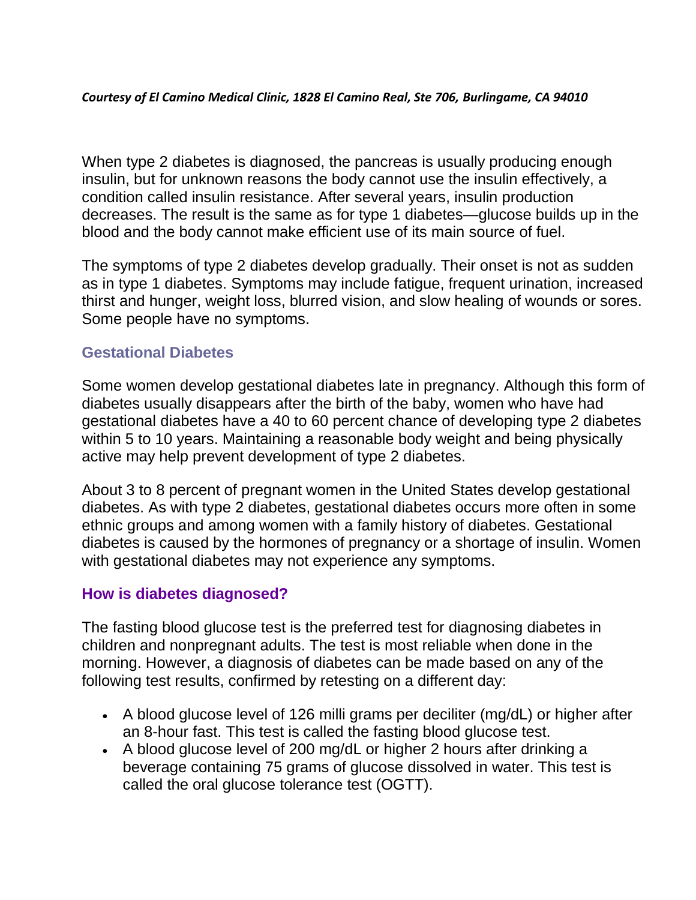#### *Courtesy of El Camino Medical Clinic, 1828 El Camino Real, Ste 706, Burlingame, CA 94010*

When type 2 diabetes is diagnosed, the pancreas is usually producing enough insulin, but for unknown reasons the body cannot use the insulin effectively, a condition called insulin resistance. After several years, insulin production decreases. The result is the same as for type 1 diabetes—glucose builds up in the blood and the body cannot make efficient use of its main source of fuel.

The symptoms of type 2 diabetes develop gradually. Their onset is not as sudden as in type 1 diabetes. Symptoms may include fatigue, frequent urination, increased thirst and hunger, weight loss, blurred vision, and slow healing of wounds or sores. Some people have no symptoms.

### **Gestational Diabetes**

Some women develop gestational diabetes late in pregnancy. Although this form of diabetes usually disappears after the birth of the baby, women who have had gestational diabetes have a 40 to 60 percent chance of developing type 2 diabetes within 5 to 10 years. Maintaining a reasonable body weight and being physically active may help prevent development of type 2 diabetes.

About 3 to 8 percent of pregnant women in the United States develop gestational diabetes. As with type 2 diabetes, gestational diabetes occurs more often in some ethnic groups and among women with a family history of diabetes. Gestational diabetes is caused by the hormones of pregnancy or a shortage of insulin. Women with gestational diabetes may not experience any symptoms.

## **How is diabetes diagnosed?**

The fasting blood glucose test is the preferred test for diagnosing diabetes in children and nonpregnant adults. The test is most reliable when done in the morning. However, a diagnosis of diabetes can be made based on any of the following test results, confirmed by retesting on a different day:

- A blood glucose level of 126 milli grams per deciliter (mg/dL) or higher after an 8-hour fast. This test is called the fasting blood glucose test.
- A blood glucose level of 200 mg/dL or higher 2 hours after drinking a beverage containing 75 grams of glucose dissolved in water. This test is called the oral glucose tolerance test (OGTT).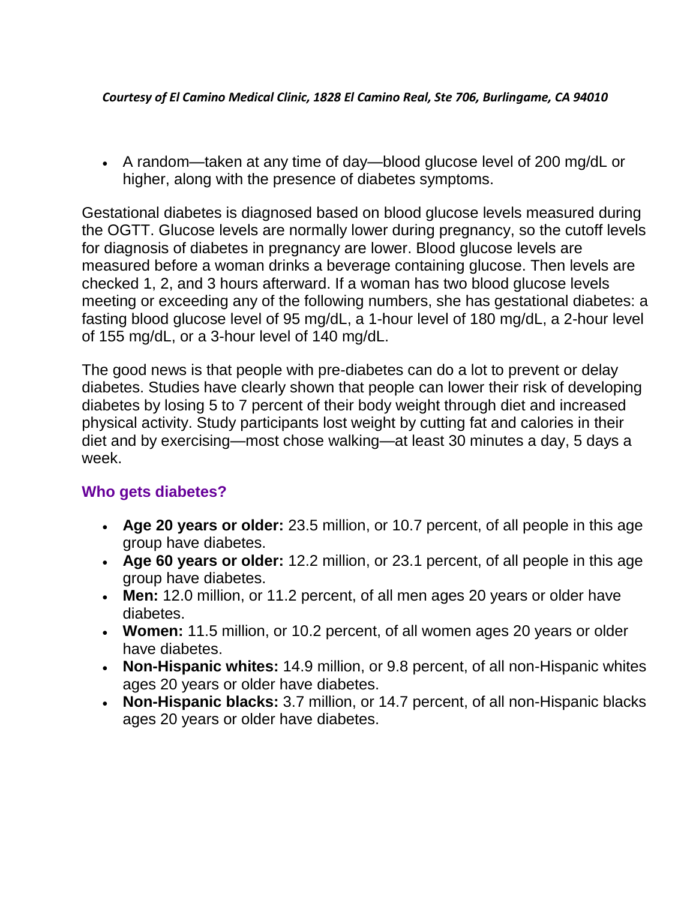#### *Courtesy of El Camino Medical Clinic, 1828 El Camino Real, Ste 706, Burlingame, CA 94010*

 A random—taken at any time of day—blood glucose level of 200 mg/dL or higher, along with the presence of diabetes symptoms.

Gestational diabetes is diagnosed based on blood glucose levels measured during the OGTT. Glucose levels are normally lower during pregnancy, so the cutoff levels for diagnosis of diabetes in pregnancy are lower. Blood glucose levels are measured before a woman drinks a beverage containing glucose. Then levels are checked 1, 2, and 3 hours afterward. If a woman has two blood glucose levels meeting or exceeding any of the following numbers, she has gestational diabetes: a fasting blood glucose level of 95 mg/dL, a 1-hour level of 180 mg/dL, a 2-hour level of 155 mg/dL, or a 3-hour level of 140 mg/dL.

The good news is that people with pre-diabetes can do a lot to prevent or delay diabetes. Studies have clearly shown that people can lower their risk of developing diabetes by losing 5 to 7 percent of their body weight through diet and increased physical activity. Study participants lost weight by cutting fat and calories in their diet and by exercising—most chose walking—at least 30 minutes a day, 5 days a week.

# **Who gets diabetes?**

- **Age 20 years or older:** 23.5 million, or 10.7 percent, of all people in this age group have diabetes.
- **Age 60 years or older:** 12.2 million, or 23.1 percent, of all people in this age group have diabetes.
- **Men:** 12.0 million, or 11.2 percent, of all men ages 20 years or older have diabetes.
- **Women:** 11.5 million, or 10.2 percent, of all women ages 20 years or older have diabetes.
- **Non-Hispanic whites:** 14.9 million, or 9.8 percent, of all non-Hispanic whites ages 20 years or older have diabetes.
- **Non-Hispanic blacks:** 3.7 million, or 14.7 percent, of all non-Hispanic blacks ages 20 years or older have diabetes.